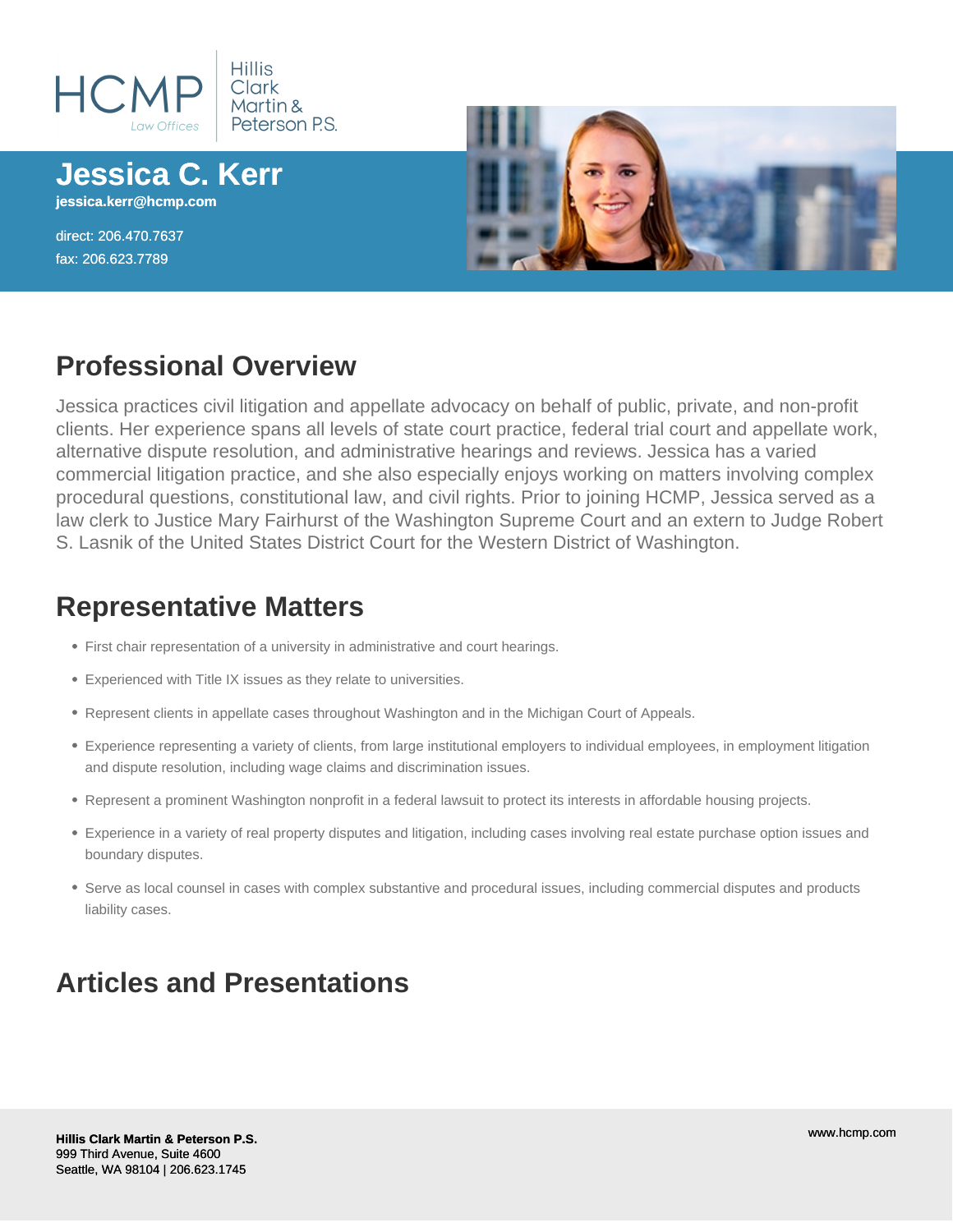

**Jessica C. Kerr jessica.kerr@hcmp.com**

direct: 206.470.7637 fax: 206.623.7789



## **Professional Overview**

Jessica practices civil litigation and appellate advocacy on behalf of public, private, and non-profit clients. Her experience spans all levels of state court practice, federal trial court and appellate work, alternative dispute resolution, and administrative hearings and reviews. Jessica has a varied commercial litigation practice, and she also especially enjoys working on matters involving complex procedural questions, constitutional law, and civil rights. Prior to joining HCMP, Jessica served as a law clerk to Justice Mary Fairhurst of the Washington Supreme Court and an extern to Judge Robert S. Lasnik of the United States District Court for the Western District of Washington.

#### **Representative Matters**

- First chair representation of a university in administrative and court hearings.
- Experienced with Title IX issues as they relate to universities.
- Represent clients in appellate cases throughout Washington and in the Michigan Court of Appeals.
- Experience representing a variety of clients, from large institutional employers to individual employees, in employment litigation and dispute resolution, including wage claims and discrimination issues.
- Represent a prominent Washington nonprofit in a federal lawsuit to protect its interests in affordable housing projects.
- Experience in a variety of real property disputes and litigation, including cases involving real estate purchase option issues and boundary disputes.
- Serve as local counsel in cases with complex substantive and procedural issues, including commercial disputes and products liability cases.

## **Articles and Presentations**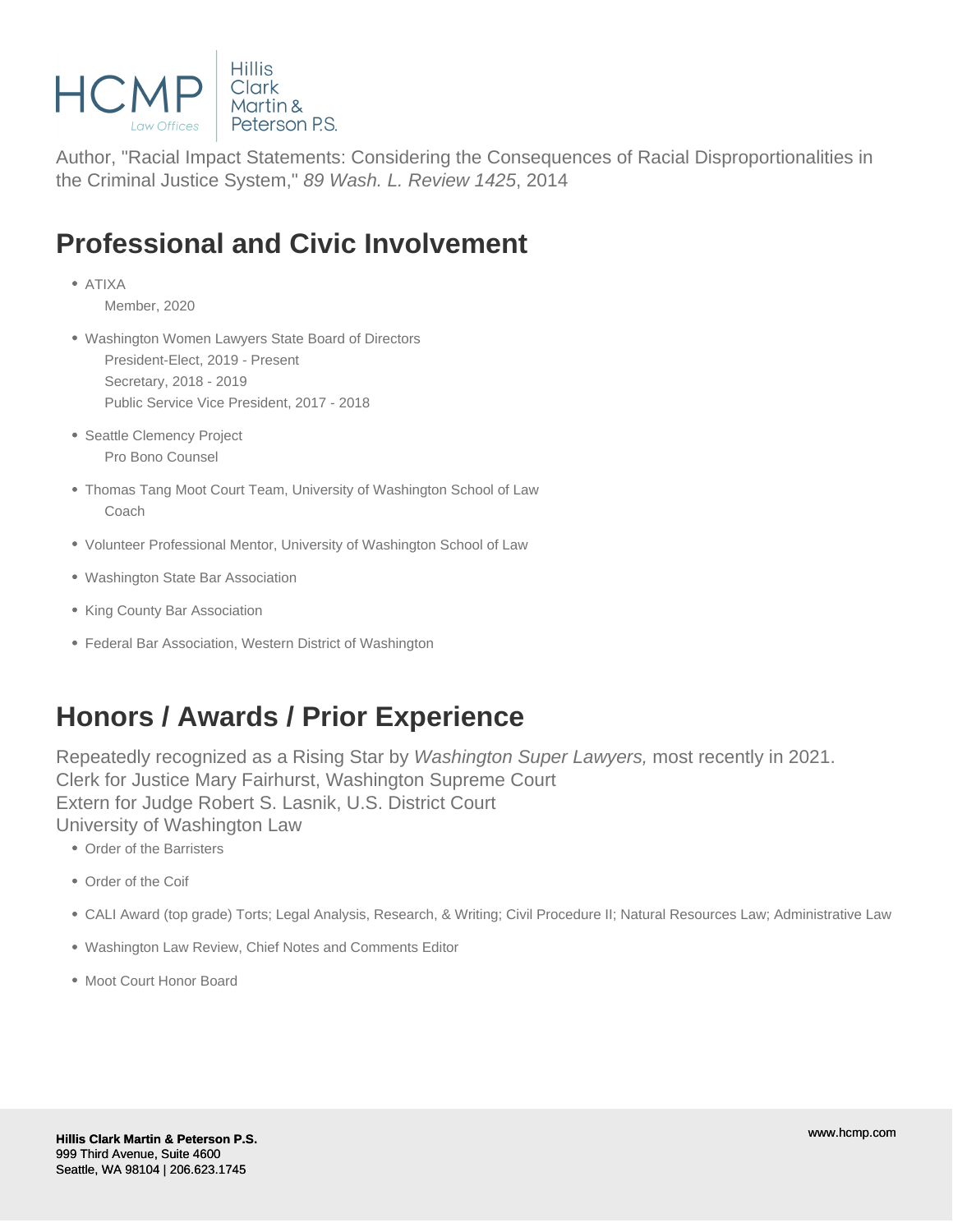

Author, "Racial Impact Statements: Considering the Consequences of Racial Disproportionalities in the Criminal Justice System," 89 Wash. L. Review 1425, 2014

## **Professional and Civic Involvement**

ATIXA

Member, 2020

- Washington Women Lawyers State Board of Directors President-Elect, 2019 - Present Secretary, 2018 - 2019 Public Service Vice President, 2017 - 2018
- Seattle Clemency Project Pro Bono Counsel
- Thomas Tang Moot Court Team, University of Washington School of Law Coach
- Volunteer Professional Mentor, University of Washington School of Law
- Washington State Bar Association
- King County Bar Association
- Federal Bar Association, Western District of Washington

### **Honors / Awards / Prior Experience**

Repeatedly recognized as a Rising Star by Washington Super Lawyers, most recently in 2021. Clerk for Justice Mary Fairhurst, Washington Supreme Court Extern for Judge Robert S. Lasnik, U.S. District Court University of Washington Law

- Order of the Barristers
- Order of the Coif
- CALI Award (top grade) Torts; Legal Analysis, Research, & Writing; Civil Procedure II; Natural Resources Law; Administrative Law
- Washington Law Review, Chief Notes and Comments Editor
- Moot Court Honor Board